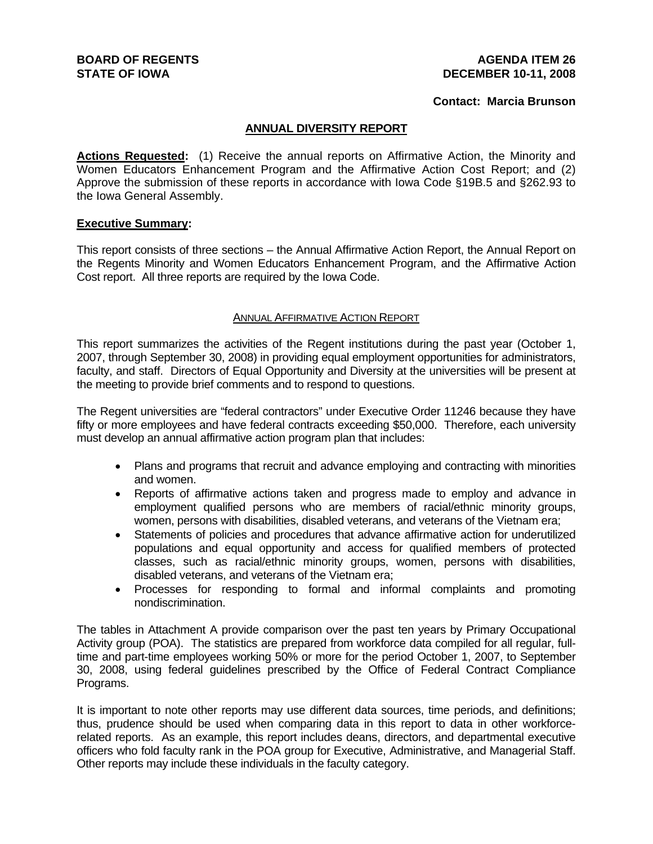#### **AGENDA ITEM 26 DECEMBER 10-11, 2008**

#### **Contact: Marcia Brunson**

### **ANNUAL DIVERSITY REPORT**

**Actions Requested:** (1) Receive the annual reports on Affirmative Action, the Minority and Women Educators Enhancement Program and the Affirmative Action Cost Report; and (2) Approve the submission of these reports in accordance with Iowa Code §19B.5 and §262.93 to the Iowa General Assembly.

#### **Executive Summary:**

This report consists of three sections – the Annual Affirmative Action Report, the Annual Report on the Regents Minority and Women Educators Enhancement Program, and the Affirmative Action Cost report. All three reports are required by the Iowa Code.

#### ANNUAL AFFIRMATIVE ACTION REPORT

This report summarizes the activities of the Regent institutions during the past year (October 1, 2007, through September 30, 2008) in providing equal employment opportunities for administrators, faculty, and staff. Directors of Equal Opportunity and Diversity at the universities will be present at the meeting to provide brief comments and to respond to questions.

The Regent universities are "federal contractors" under Executive Order 11246 because they have fifty or more employees and have federal contracts exceeding \$50,000. Therefore, each university must develop an annual affirmative action program plan that includes:

- Plans and programs that recruit and advance employing and contracting with minorities and women.
- Reports of affirmative actions taken and progress made to employ and advance in employment qualified persons who are members of racial/ethnic minority groups, women, persons with disabilities, disabled veterans, and veterans of the Vietnam era;
- Statements of policies and procedures that advance affirmative action for underutilized populations and equal opportunity and access for qualified members of protected classes, such as racial/ethnic minority groups, women, persons with disabilities, disabled veterans, and veterans of the Vietnam era;
- Processes for responding to formal and informal complaints and promoting nondiscrimination.

The tables in Attachment A provide comparison over the past ten years by Primary Occupational Activity group (POA). The statistics are prepared from workforce data compiled for all regular, fulltime and part-time employees working 50% or more for the period October 1, 2007, to September 30, 2008, using federal guidelines prescribed by the Office of Federal Contract Compliance Programs.

It is important to note other reports may use different data sources, time periods, and definitions; thus, prudence should be used when comparing data in this report to data in other workforcerelated reports. As an example, this report includes deans, directors, and departmental executive officers who fold faculty rank in the POA group for Executive, Administrative, and Managerial Staff. Other reports may include these individuals in the faculty category.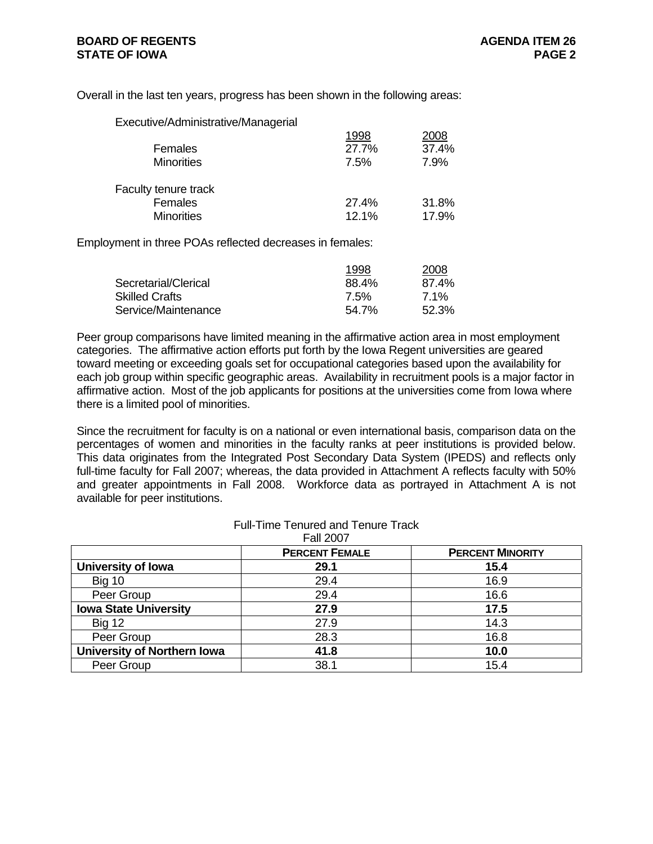Overall in the last ten years, progress has been shown in the following areas:

| Executive/Administrative/Managerial |       |       |
|-------------------------------------|-------|-------|
|                                     | 1998  | 2008  |
| Females                             | 27.7% | 37.4% |
| <b>Minorities</b>                   | 7.5%  | 7.9%  |
| <b>Faculty tenure track</b>         |       |       |
| Females                             | 27.4% | 31.8% |
| <b>Minorities</b>                   | 12.1% | 17.9% |

Employment in three POAs reflected decreases in females:

|                       | 1998  | 2008  |
|-----------------------|-------|-------|
| Secretarial/Clerical  | 88.4% | 87.4% |
| <b>Skilled Crafts</b> | 7.5%  | 7.1%  |
| Service/Maintenance   | 54.7% | 52.3% |

Peer group comparisons have limited meaning in the affirmative action area in most employment categories. The affirmative action efforts put forth by the Iowa Regent universities are geared toward meeting or exceeding goals set for occupational categories based upon the availability for each job group within specific geographic areas. Availability in recruitment pools is a major factor in affirmative action. Most of the job applicants for positions at the universities come from Iowa where there is a limited pool of minorities.

Since the recruitment for faculty is on a national or even international basis, comparison data on the percentages of women and minorities in the faculty ranks at peer institutions is provided below. This data originates from the Integrated Post Secondary Data System (IPEDS) and reflects only full-time faculty for Fall 2007; whereas, the data provided in Attachment A reflects faculty with 50% and greater appointments in Fall 2008. Workforce data as portrayed in Attachment A is not available for peer institutions.

|                                    | <b>Fall 2007</b>      |                         |
|------------------------------------|-----------------------|-------------------------|
|                                    | <b>PERCENT FEMALE</b> | <b>PERCENT MINORITY</b> |
| <b>University of lowa</b>          | 29.1                  | 15.4                    |
| <b>Big 10</b>                      | 29.4                  | 16.9                    |
| Peer Group                         | 29.4                  | 16.6                    |
| <b>Iowa State University</b>       | 27.9                  | 17.5                    |
| <b>Big 12</b>                      | 27.9                  | 14.3                    |
| Peer Group                         | 28.3                  | 16.8                    |
| <b>University of Northern Iowa</b> | 41.8                  | 10.0                    |
| Peer Group                         | 38.1                  | 15.4                    |

#### Full-Time Tenured and Tenure Track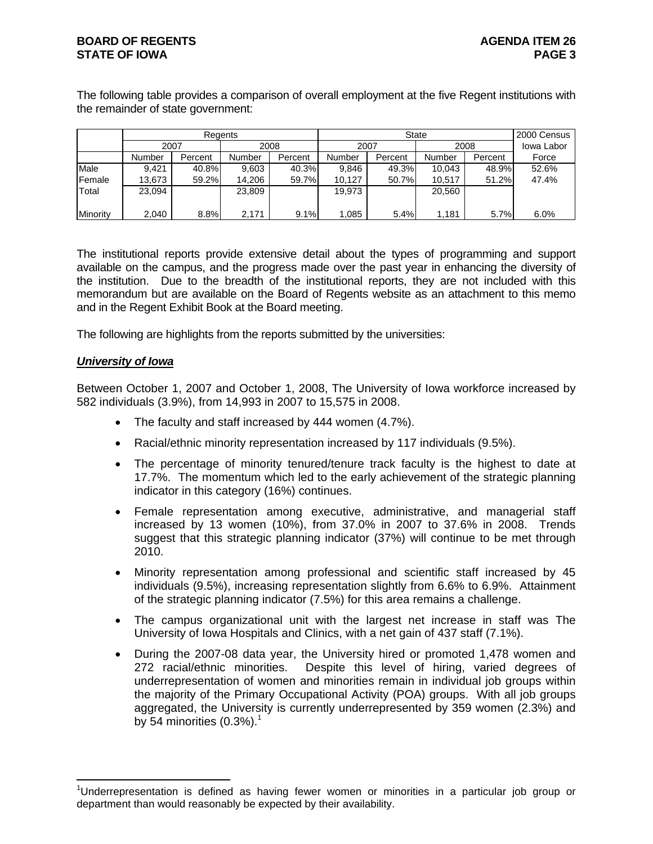The following table provides a comparison of overall employment at the five Regent institutions with the remainder of state government:

|                 |        |         | Reaents |         |        |         | 2000 Census |            |       |
|-----------------|--------|---------|---------|---------|--------|---------|-------------|------------|-------|
|                 | 2007   |         | 2008    |         | 2007   |         | 2008        | lowa Labor |       |
|                 | Number | Percent | Number  | Percent | Number | Percent | Number      | Percent    | Force |
| Male            | 9.421  | 40.8%   | 9,603   | 40.3%   | 9.846  | 49.3%   | 10,043      | 48.9%      | 52.6% |
| <b>IFemale</b>  | 13.673 | 59.2%   | 14.206  | 59.7%   | 10.127 | 50.7%   | 10.517      | 51.2%      | 47.4% |
| 'Total          | 23,094 |         | 23,809  |         | 19,973 |         | 20.560      |            |       |
|                 |        |         |         |         |        |         |             |            |       |
| <b>Minority</b> | 2.040  | 8.8%    | 2.171   | 9.1%    | .085   | 5.4%    | 1,181       | 5.7%       | 6.0%  |

The institutional reports provide extensive detail about the types of programming and support available on the campus, and the progress made over the past year in enhancing the diversity of the institution. Due to the breadth of the institutional reports, they are not included with this memorandum but are available on the Board of Regents website as an attachment to this memo and in the Regent Exhibit Book at the Board meeting.

The following are highlights from the reports submitted by the universities:

#### *University of Iowa*

 $\overline{a}$ 

Between October 1, 2007 and October 1, 2008, The University of Iowa workforce increased by 582 individuals (3.9%), from 14,993 in 2007 to 15,575 in 2008.

- The faculty and staff increased by 444 women (4.7%).
- Racial/ethnic minority representation increased by 117 individuals (9.5%).
- The percentage of minority tenured/tenure track faculty is the highest to date at 17.7%. The momentum which led to the early achievement of the strategic planning indicator in this category (16%) continues.
- Female representation among executive, administrative, and managerial staff increased by 13 women (10%), from 37.0% in 2007 to 37.6% in 2008. Trends suggest that this strategic planning indicator (37%) will continue to be met through 2010.
- Minority representation among professional and scientific staff increased by 45 individuals (9.5%), increasing representation slightly from 6.6% to 6.9%. Attainment of the strategic planning indicator (7.5%) for this area remains a challenge.
- The campus organizational unit with the largest net increase in staff was The University of Iowa Hospitals and Clinics, with a net gain of 437 staff (7.1%).
- During the 2007-08 data year, the University hired or promoted 1,478 women and 272 racial/ethnic minorities. Despite this level of hiring, varied degrees of underrepresentation of women and minorities remain in individual job groups within the majority of the Primary Occupational Activity (POA) groups. With all job groups aggregated, the University is currently underrepresented by 359 women (2.3%) and by 54 minorities  $(0.3\%)$ .<sup>1</sup>

<sup>&</sup>lt;sup>1</sup>Underrepresentation is defined as having fewer women or minorities in a particular job group or department than would reasonably be expected by their availability.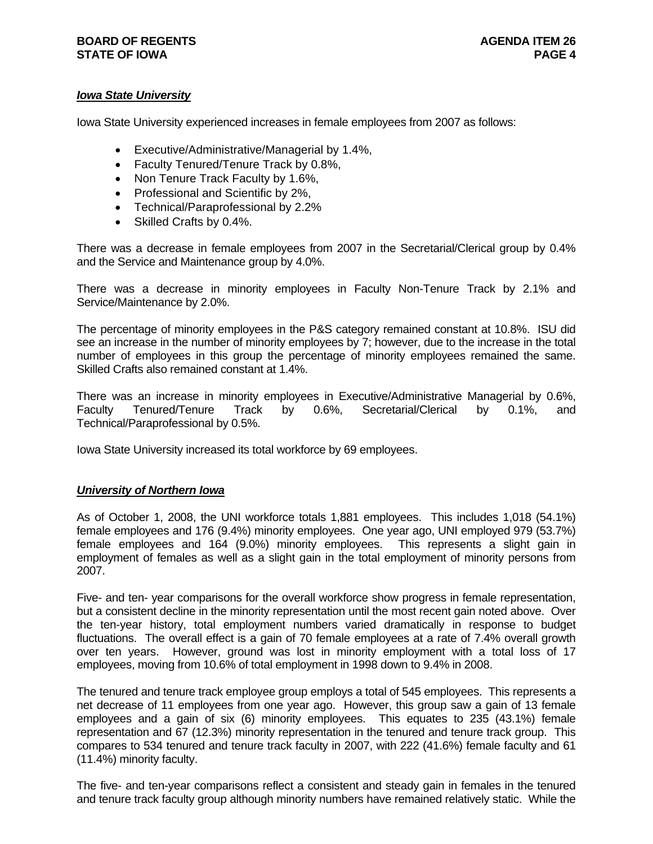### **BOARD OF REGENTS BOARD OF REGENTS STATE OF IOWA** PAGE 4

# *Iowa State University*

Iowa State University experienced increases in female employees from 2007 as follows:

- Executive/Administrative/Managerial by 1.4%,
- Faculty Tenured/Tenure Track by 0.8%,
- Non Tenure Track Faculty by 1.6%,
- Professional and Scientific by 2%,
- Technical/Paraprofessional by 2.2%
- Skilled Crafts by 0.4%.

There was a decrease in female employees from 2007 in the Secretarial/Clerical group by 0.4% and the Service and Maintenance group by 4.0%.

There was a decrease in minority employees in Faculty Non-Tenure Track by 2.1% and Service/Maintenance by 2.0%.

The percentage of minority employees in the P&S category remained constant at 10.8%. ISU did see an increase in the number of minority employees by 7; however, due to the increase in the total number of employees in this group the percentage of minority employees remained the same. Skilled Crafts also remained constant at 1.4%.

There was an increase in minority employees in Executive/Administrative Managerial by 0.6%, Faculty Tenured/Tenure Track by 0.6%, Secretarial/Clerical by 0.1%, and Technical/Paraprofessional by 0.5%.

Iowa State University increased its total workforce by 69 employees.

#### *University of Northern Iowa*

As of October 1, 2008, the UNI workforce totals 1,881 employees. This includes 1,018 (54.1%) female employees and 176 (9.4%) minority employees. One year ago, UNI employed 979 (53.7%) female employees and 164 (9.0%) minority employees. This represents a slight gain in employment of females as well as a slight gain in the total employment of minority persons from 2007.

Five- and ten- year comparisons for the overall workforce show progress in female representation, but a consistent decline in the minority representation until the most recent gain noted above. Over the ten-year history, total employment numbers varied dramatically in response to budget fluctuations. The overall effect is a gain of 70 female employees at a rate of 7.4% overall growth over ten years. However, ground was lost in minority employment with a total loss of 17 employees, moving from 10.6% of total employment in 1998 down to 9.4% in 2008.

The tenured and tenure track employee group employs a total of 545 employees. This represents a net decrease of 11 employees from one year ago. However, this group saw a gain of 13 female employees and a gain of six (6) minority employees. This equates to 235 (43.1%) female representation and 67 (12.3%) minority representation in the tenured and tenure track group. This compares to 534 tenured and tenure track faculty in 2007, with 222 (41.6%) female faculty and 61 (11.4%) minority faculty.

The five- and ten-year comparisons reflect a consistent and steady gain in females in the tenured and tenure track faculty group although minority numbers have remained relatively static. While the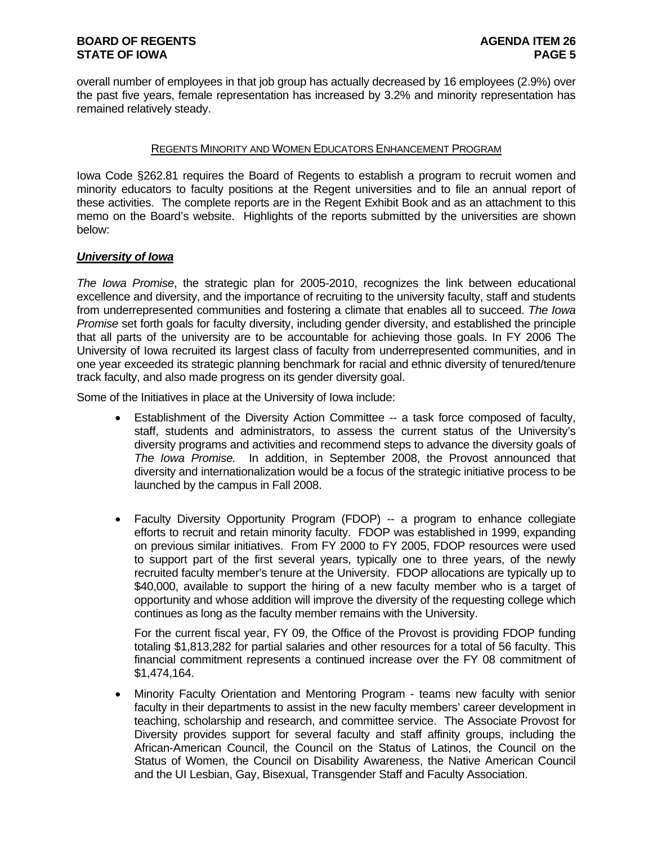overall number of employees in that job group has actually decreased by 16 employees (2.9%) over the past five years, female representation has increased by 3.2% and minority representation has remained relatively steady.

### REGENTS MINORITY AND WOMEN EDUCATORS ENHANCEMENT PROGRAM

Iowa Code §262.81 requires the Board of Regents to establish a program to recruit women and minority educators to faculty positions at the Regent universities and to file an annual report of these activities. The complete reports are in the Regent Exhibit Book and as an attachment to this memo on the Board's website. Highlights of the reports submitted by the universities are shown below:

## *University of Iowa*

*The Iowa Promise*, the strategic plan for 2005-2010, recognizes the link between educational excellence and diversity, and the importance of recruiting to the university faculty, staff and students from underrepresented communities and fostering a climate that enables all to succeed. *The Iowa Promise* set forth goals for faculty diversity, including gender diversity, and established the principle that all parts of the university are to be accountable for achieving those goals. In FY 2006 The University of Iowa recruited its largest class of faculty from underrepresented communities, and in one year exceeded its strategic planning benchmark for racial and ethnic diversity of tenured/tenure track faculty, and also made progress on its gender diversity goal.

Some of the Initiatives in place at the University of Iowa include:

- Establishment of the Diversity Action Committee -- a task force composed of faculty, staff, students and administrators, to assess the current status of the University's diversity programs and activities and recommend steps to advance the diversity goals of *The Iowa Promise.* In addition, in September 2008, the Provost announced that diversity and internationalization would be a focus of the strategic initiative process to be launched by the campus in Fall 2008.
- Faculty Diversity Opportunity Program (FDOP) -- a program to enhance collegiate efforts to recruit and retain minority faculty. FDOP was established in 1999, expanding on previous similar initiatives. From FY 2000 to FY 2005, FDOP resources were used to support part of the first several years, typically one to three years, of the newly recruited faculty member's tenure at the University. FDOP allocations are typically up to \$40,000, available to support the hiring of a new faculty member who is a target of opportunity and whose addition will improve the diversity of the requesting college which continues as long as the faculty member remains with the University.

For the current fiscal year, FY 09, the Office of the Provost is providing FDOP funding totaling \$1,813,282 for partial salaries and other resources for a total of 56 faculty. This financial commitment represents a continued increase over the FY 08 commitment of \$1,474,164.

• Minority Faculty Orientation and Mentoring Program - teams new faculty with senior faculty in their departments to assist in the new faculty members' career development in teaching, scholarship and research, and committee service. The Associate Provost for Diversity provides support for several faculty and staff affinity groups, including the African-American Council, the Council on the Status of Latinos, the Council on the Status of Women, the Council on Disability Awareness, the Native American Council and the UI Lesbian, Gay, Bisexual, Transgender Staff and Faculty Association.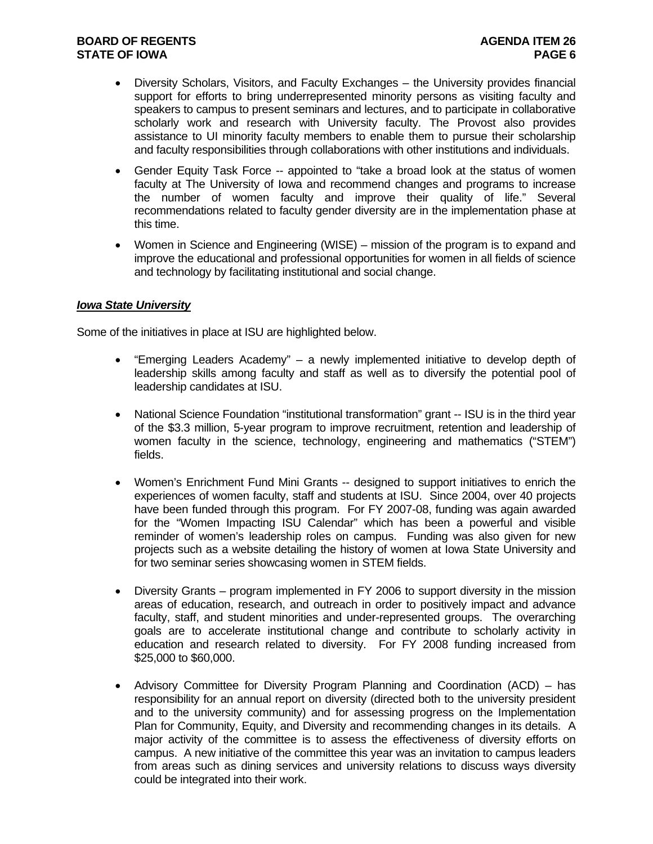- Diversity Scholars, Visitors, and Faculty Exchanges the University provides financial support for efforts to bring underrepresented minority persons as visiting faculty and speakers to campus to present seminars and lectures, and to participate in collaborative scholarly work and research with University faculty. The Provost also provides assistance to UI minority faculty members to enable them to pursue their scholarship and faculty responsibilities through collaborations with other institutions and individuals.
- Gender Equity Task Force -- appointed to "take a broad look at the status of women faculty at The University of Iowa and recommend changes and programs to increase the number of women faculty and improve their quality of life." Several recommendations related to faculty gender diversity are in the implementation phase at this time.
- Women in Science and Engineering (WISE) mission of the program is to expand and improve the educational and professional opportunities for women in all fields of science and technology by facilitating institutional and social change.

#### *Iowa State University*

Some of the initiatives in place at ISU are highlighted below.

- "Emerging Leaders Academy" a newly implemented initiative to develop depth of leadership skills among faculty and staff as well as to diversify the potential pool of leadership candidates at ISU.
- National Science Foundation "institutional transformation" grant -- ISU is in the third year of the \$3.3 million, 5-year program to improve recruitment, retention and leadership of women faculty in the science, technology, engineering and mathematics ("STEM") fields.
- Women's Enrichment Fund Mini Grants -- designed to support initiatives to enrich the experiences of women faculty, staff and students at ISU. Since 2004, over 40 projects have been funded through this program. For FY 2007-08, funding was again awarded for the "Women Impacting ISU Calendar" which has been a powerful and visible reminder of women's leadership roles on campus. Funding was also given for new projects such as a website detailing the history of women at Iowa State University and for two seminar series showcasing women in STEM fields.
- Diversity Grants program implemented in FY 2006 to support diversity in the mission areas of education, research, and outreach in order to positively impact and advance faculty, staff, and student minorities and under-represented groups. The overarching goals are to accelerate institutional change and contribute to scholarly activity in education and research related to diversity. For FY 2008 funding increased from \$25,000 to \$60,000.
- Advisory Committee for Diversity Program Planning and Coordination (ACD) has responsibility for an annual report on diversity (directed both to the university president and to the university community) and for assessing progress on the Implementation Plan for Community, Equity, and Diversity and recommending changes in its details. A major activity of the committee is to assess the effectiveness of diversity efforts on campus. A new initiative of the committee this year was an invitation to campus leaders from areas such as dining services and university relations to discuss ways diversity could be integrated into their work.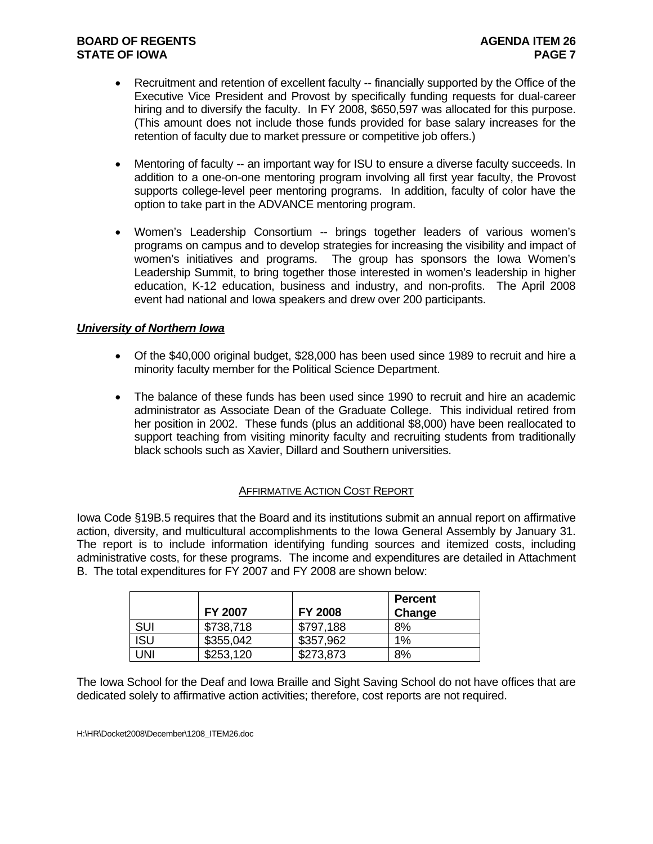- Recruitment and retention of excellent faculty -- financially supported by the Office of the Executive Vice President and Provost by specifically funding requests for dual-career hiring and to diversify the faculty. In FY 2008, \$650,597 was allocated for this purpose. (This amount does not include those funds provided for base salary increases for the retention of faculty due to market pressure or competitive job offers.)
- Mentoring of faculty -- an important way for ISU to ensure a diverse faculty succeeds. In addition to a one-on-one mentoring program involving all first year faculty, the Provost supports college-level peer mentoring programs. In addition, faculty of color have the option to take part in the ADVANCE mentoring program.
- Women's Leadership Consortium -- brings together leaders of various women's programs on campus and to develop strategies for increasing the visibility and impact of women's initiatives and programs. The group has sponsors the Iowa Women's Leadership Summit, to bring together those interested in women's leadership in higher education, K-12 education, business and industry, and non-profits. The April 2008 event had national and Iowa speakers and drew over 200 participants.

# *University of Northern Iowa*

- Of the \$40,000 original budget, \$28,000 has been used since 1989 to recruit and hire a minority faculty member for the Political Science Department.
- The balance of these funds has been used since 1990 to recruit and hire an academic administrator as Associate Dean of the Graduate College. This individual retired from her position in 2002. These funds (plus an additional \$8,000) have been reallocated to support teaching from visiting minority faculty and recruiting students from traditionally black schools such as Xavier, Dillard and Southern universities.

#### AFFIRMATIVE ACTION COST REPORT

Iowa Code §19B.5 requires that the Board and its institutions submit an annual report on affirmative action, diversity, and multicultural accomplishments to the Iowa General Assembly by January 31. The report is to include information identifying funding sources and itemized costs, including administrative costs, for these programs. The income and expenditures are detailed in Attachment B. The total expenditures for FY 2007 and FY 2008 are shown below:

|            |                |                | <b>Percent</b> |
|------------|----------------|----------------|----------------|
|            | <b>FY 2007</b> | <b>FY 2008</b> | Change         |
| <b>SUI</b> | \$738,718      | \$797,188      | 8%             |
| <b>ISU</b> | \$355,042      | \$357,962      | $1\%$          |
| UNI        | \$253,120      | \$273,873      | 8%             |

The Iowa School for the Deaf and Iowa Braille and Sight Saving School do not have offices that are dedicated solely to affirmative action activities; therefore, cost reports are not required.

H:\HR\Docket2008\December\1208\_ITEM26.doc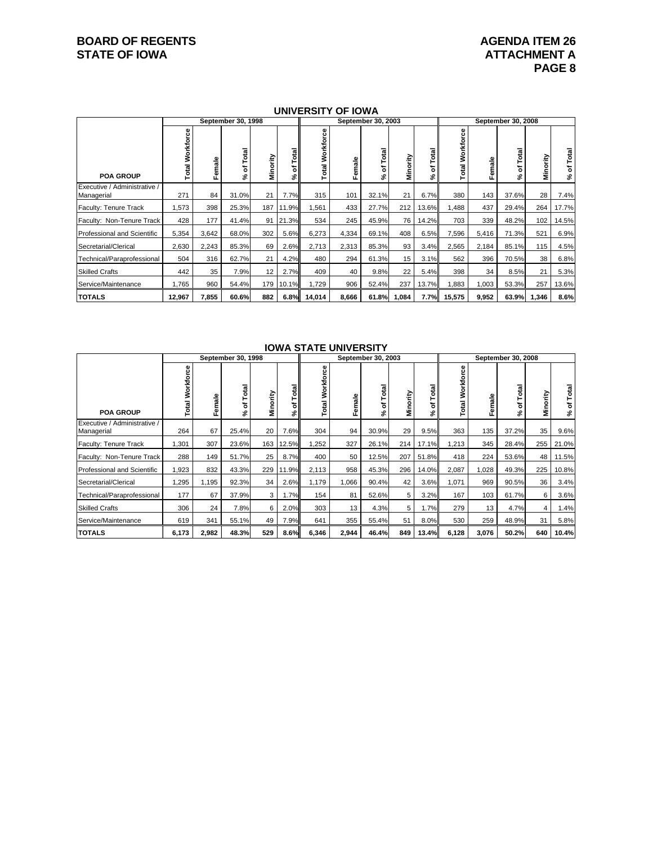# **BOARD OF REGENTS AGENUAL STATE OF IOWA**<br> **BOARD OF IOWA**<br> **ATTACHMENT A**

#### **UNIVERSITY OF IOWA**

|                                            |                            | September 30, 1998 |                      |          |            |                                 | September 30, 2003 |            |          |           |                    | September 30, 2008 |                 |          |                  |  |
|--------------------------------------------|----------------------------|--------------------|----------------------|----------|------------|---------------------------------|--------------------|------------|----------|-----------|--------------------|--------------------|-----------------|----------|------------------|--|
| <b>POA GROUP</b>                           | Φ<br><b>Total Workforc</b> | male<br>Φ<br>LE.   | otal<br>⊢<br>৳<br>వి | Minority | Total<br>ኄ | Workforce<br>Total <sup>1</sup> | emale              | Total<br>৳ | Minority | otal<br>৳ | Workforce<br>Total | Female             | Total<br>৳<br>چ | Minority | Total<br>৳<br>వి |  |
| Executive / Administrative /<br>Managerial | 271                        | 84                 | 31.0%                | 21       | 7.7%       | 315                             | 101                | 32.1%      | 21       | 6.7%      | 380                | 143                | 37.6%           | 28       | 7.4%             |  |
| Faculty: Tenure Track                      | 1,573                      | 398                | 25.3%                | 187 I    | 11.9%      | 1,561                           | 433                | 27.7%      | 212      | 13.6%     | 1,488              | 437                | 29.4%           | 264      | 17.7%            |  |
| Faculty: Non-Tenure Track                  | 428                        | 177                | 41.4%                |          | 91 21.3%   | 534                             | 245                | 45.9%      | 76       | 14.2%     | 703                | 339                | 48.2%           | 102      | 14.5%            |  |
| <b>Professional and Scientific</b>         | 5,354                      | 3,642              | 68.0%                | 302      | 5.6%       | 6,273                           | 4,334              | 69.1%      | 408      | 6.5%      | 7,596              | 5,416              | 71.3%           | 521      | 6.9%             |  |
| Secretarial/Clerical                       | 2,630                      | 2,243              | 85.3%                | 69       | 2.6%       | 2,713                           | 2,313              | 85.3%      | 93       | 3.4%      | 2,565              | 2,184              | 85.1%           | 115      | 4.5%             |  |
| Technical/Paraprofessional                 | 504                        | 316                | 62.7%                | 21       | 4.2%       | 480                             | 294                | 61.3%      | 15       | 3.1%      | 562                | 396                | 70.5%           | 38       | 6.8%             |  |
| <b>Skilled Crafts</b>                      | 442                        | 35                 | 7.9%                 | 12       | 2.7%       | 409                             | 40                 | 9.8%       | 22       | 5.4%      | 398                | 34                 | 8.5%            | 21       | 5.3%             |  |
| Service/Maintenance                        | 1,765                      | 960                | 54.4%                | 179      | 10.1%      | 1,729                           | 906                | 52.4%      | 237      | 13.7%     | 1,883              | 1,003              | 53.3%           | 257      | 13.6%            |  |
| <b>TOTALS</b>                              | 12,967                     | 7,855              | 60.6%                | 882      | 6.8%       | 14,014                          | 8,666              | 61.8%      | 1,084    | 7.7%      | 15,575             | 9,952              | 63.9%           | 1,346    | 8.6%             |  |

#### **IOWA STATE UNIVERSITY**

|                                            | September 30, 1998 |        |                 |          |                  |                        |        | September 30, 2003 |                | September 30, 2008 |                    |        |                 |          |                           |
|--------------------------------------------|--------------------|--------|-----------------|----------|------------------|------------------------|--------|--------------------|----------------|--------------------|--------------------|--------|-----------------|----------|---------------------------|
| <b>POA GROUP</b>                           | Workforce<br>Total | Female | Total<br>৳<br>چ | Minority | Total<br>ㅎ<br>اچ | င္ၿ<br>Workfo<br>Total | Female | of Total<br>ا گچ   | Minority       | otal<br>ö<br>వ్    | Workforce<br>Total | Female | Total<br>৳<br>چ | Minority | of Total<br>$\mathcal{S}$ |
| Executive / Administrative /<br>Managerial | 264                | 67     | 25.4%           | 20       | 7.6%             | 304                    | 94     | 30.9%              | 29             | 9.5%               | 363                | 135    | 37.2%           | 35       | 9.6%                      |
| Faculty: Tenure Track                      | 1,301              | 307    | 23.6%           | 163      | 12.5%            | 1,252                  | 327    | 26.1%              | 214            | 17.1%              | 1,213              | 345    | 28.4%           | 255      | 21.0%                     |
| Faculty: Non-Tenure Track                  | 288                | 149    | 51.7%           | 25       | 8.7%             | 400                    | 50     | 12.5%              | 207            | 51.8%              | 418                | 224    | 53.6%           | 48       | 11.5%                     |
| Professional and Scientific                | 1,923              | 832    | 43.3%           | 229      | 11.9%            | 2,113                  | 958    | 45.3%              | 296            | 14.0%              | 2,087              | 1,028  | 49.3%           | 225      | 10.8%                     |
| Secretarial/Clerical                       | 1,295              | 1,195  | 92.3%           | 34       | 2.6%             | 1,179                  | 1,066  | 90.4%              | 42             | 3.6%               | 1,071              | 969    | 90.5%           | 36       | 3.4%                      |
| Technical/Paraprofessional                 | 177                | 67     | 37.9%           | 3        | 1.7%             | 154                    | 81     | 52.6%              | 5              | 3.2%               | 167                | 103    | 61.7%           | 6        | 3.6%                      |
| <b>Skilled Crafts</b>                      | 306                | 24     | 7.8%            | 6        | 2.0%             | 303                    | 13     | 4.3%               | 5 <sup>1</sup> | 1.7%               | 279                | 13     | 4.7%            | 4        | 1.4%                      |
| Service/Maintenance                        | 619                | 341    | 55.1%           | 49       | 7.9%             | 641                    | 355    | 55.4%              | 51             | 8.0%               | 530                | 259    | 48.9%           | 31       | 5.8%                      |
| <b>TOTALS</b>                              | 6,173              | 2,982  | 48.3%           | 529      | 8.6%             | 6,346                  | 2,944  | 46.4%              | 849            | 13.4%              | 6,128              | 3,076  | 50.2%           | 640      | 10.4%                     |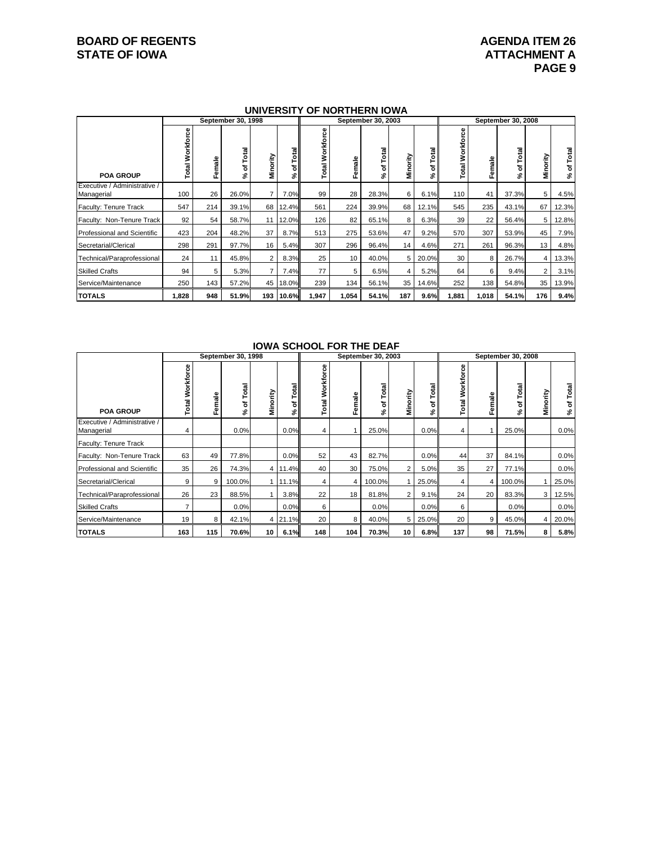# **BOARD OF REGENTS AGENUAL STATE OF IOWA**<br> **BOARD OF IOWA**<br> **BOARD OF IOWA**

#### **UNIVERSITY OF NORTHERN IOWA**

|                                            | September 30, 1998            |           |             |                  |                   | September 30, 2003                  |        |                 |          |        | September 30, 2008     |        |                   |                |                  |
|--------------------------------------------|-------------------------------|-----------|-------------|------------------|-------------------|-------------------------------------|--------|-----------------|----------|--------|------------------------|--------|-------------------|----------------|------------------|
| <b>POA GROUP</b>                           | Φ<br>Ō<br><b>Total Workfo</b> | male<br>Ŀ | Total<br>՟Շ | Minority         | Total<br>ъ۱<br>వి | Φ<br>Workforc<br>Total <sup>1</sup> | Female | Total<br>৳<br>℅ | Minority | g<br>ኄ | <b>Total Workforce</b> | Female | Total<br>՟Շ<br>వి | Minority       | Total<br>৳<br>వి |
| Executive / Administrative /<br>Managerial | 100                           | 26        | 26.0%       |                  | 7.0%              | 99                                  | 28     | 28.3%           | 6        | 6.1%   | 110                    | 41     | 37.3%             | 5              | 4.5%             |
| Faculty: Tenure Track                      | 547                           | 214       | 39.1%       | 68               | 12.4%             | 561                                 | 224    | 39.9%           | 68       | 12.1%  | 545                    | 235    | 43.1%             | 67             | 12.3%            |
| Faculty: Non-Tenure Track                  | 92                            | 54        | 58.7%       | 11               | 12.0%             | 126                                 | 82     | 65.1%           | 8        | 6.3%   | 39                     | 22     | 56.4%             | 5              | 12.8%            |
| Professional and Scientific                | 423                           | 204       | 48.2%       | 37               | 8.7%              | 513                                 | 275    | 53.6%           | 47       | 9.2%   | 570                    | 307    | 53.9%             | 45             | 7.9%             |
| Secretarial/Clerical                       | 298                           | 291       | 97.7%       | 16               | 5.4%              | 307                                 | 296    | 96.4%           | 14       | 4.6%   | 271                    | 261    | 96.3%             | 13             | 4.8%             |
| Technical/Paraprofessional                 | 24                            | 11        | 45.8%       | 2                | 8.3%              | 25                                  | 10     | 40.0%           | 5        | 20.0%  | 30                     | 8      | 26.7%             | 4              | 13.3%            |
| <b>Skilled Crafts</b>                      | 94                            | 5         | 5.3%        | $\overline{7}$   | 7.4%              | 77                                  | 5      | 6.5%            | 4        | 5.2%   | 64                     | 6      | 9.4%              | $\overline{2}$ | 3.1%             |
| Service/Maintenance                        | 250                           | 143       | 57.2%       | 45               | 18.0%             | 239                                 | 134    | 56.1%           | 35       | 14.6%  | 252                    | 138    | 54.8%             | 35             | 13.9%            |
| <b>TOTALS</b>                              | 1,828                         | 948       | 51.9%       | 193 <sub>1</sub> | 10.6%             | 1,947                               | 1,054  | 54.1%           | 187      | 9.6%   | 1,881                  | 1,018  | 54.1%             | 176            | 9.4%             |

|                                            |                        |           | September 30, 1998   |                |                 |                         | 1911A 9911996 I 91\ 1116 PEAI | September 30, 2003 |                |           | September 30, 2008 |        |                   |          |                           |  |
|--------------------------------------------|------------------------|-----------|----------------------|----------------|-----------------|-------------------------|-------------------------------|--------------------|----------------|-----------|--------------------|--------|-------------------|----------|---------------------------|--|
| <b>POA GROUP</b>                           | <b>Total Workforce</b> | male<br>Ŀ | otal<br>⊢<br>৳<br>వి | Minority       | otal<br>ㅎ<br>వి | 8<br>ō<br>Workf<br>otal | Female                        | of Total<br>چ      | Minority       | otal<br>5 | Workforce<br>Total | Female | Total<br>՟Շ<br>వి | Minority | of Total<br>$\mathcal{S}$ |  |
| Executive / Administrative /<br>Managerial | 4                      |           | 0.0%                 |                | 0.0%            | 4                       |                               | 25.0%              |                | 0.0%      | 4                  |        | 25.0%             |          | 0.0%                      |  |
| Faculty: Tenure Track                      |                        |           |                      |                |                 |                         |                               |                    |                |           |                    |        |                   |          |                           |  |
| Faculty: Non-Tenure Track                  | 63                     | 49        | 77.8%                |                | 0.0%            | 52                      | 43                            | 82.7%              |                | 0.0%      | 44                 | 37     | 84.1%             |          | 0.0%                      |  |
| <b>Professional and Scientific</b>         | 35                     | 26        | 74.3%                | 4 <sup>1</sup> | 11.4%           | 40                      | 30                            | 75.0%              | $\overline{2}$ | 5.0%      | 35                 | 27     | 77.1%             |          | 0.0%                      |  |
| Secretarial/Clerical                       | 9                      | 9         | 100.0%               |                | 11.1%           | 4                       |                               | 100.0%             |                | 25.0%     | 4                  | 4      | 100.0%            |          | 25.0%                     |  |
| Technical/Paraprofessional                 | 26                     | 23        | 88.5%                |                | 3.8%            | 22                      | 18                            | 81.8%              | $\overline{2}$ | 9.1%      | 24                 | 20     | 83.3%             | 3        | 12.5%                     |  |
| <b>Skilled Crafts</b>                      | $\overline{7}$         |           | 0.0%                 |                | 0.0%            | 6                       |                               | 0.0%               |                | 0.0%      | 6                  |        | 0.0%              |          | 0.0%                      |  |
| Service/Maintenance                        | 19                     | 8         | 42.1%                |                | 4 21.1%         | 20                      | 8                             | 40.0%              | 5              | 25.0%     | 20                 | 9      | 45.0%             | 4        | 20.0%                     |  |
| <b>TOTALS</b>                              | 163                    | 115       | 70.6%                | 10             | 6.1%            | 148                     | 104                           | 70.3%              | 10             | 6.8%      | 137                | 98     | 71.5%             | 8        | 5.8%                      |  |

#### **IOWA SCHOOL FOR THE DEAF**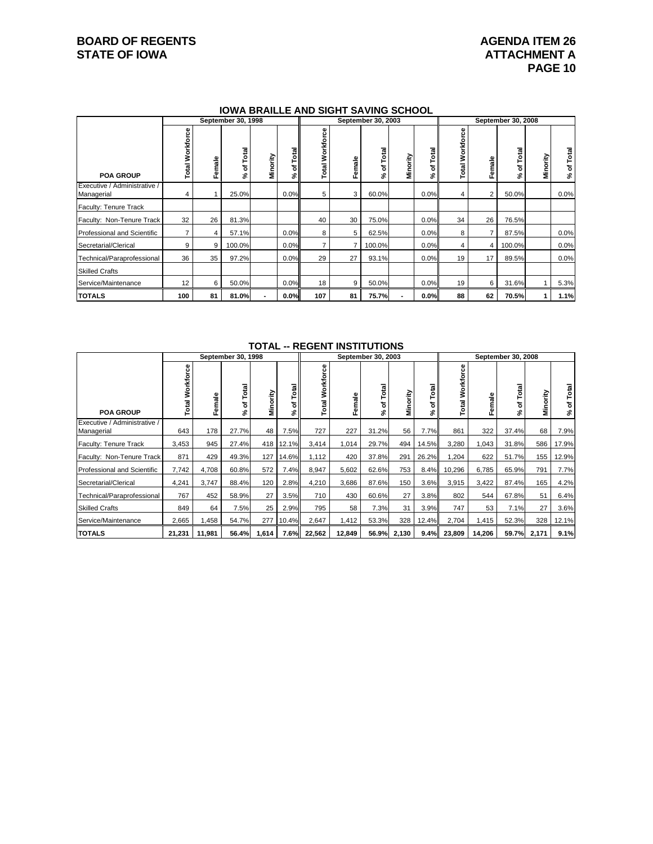# **BOARD OF REGENTS AGENUAL STATE OF IOWA**<br> **BOARD OF IOWA**<br> **ATTACHMENT A**

# **ATTACHMENT A PAGE 10**

#### **IOWA BRAILLE AND SIGHT SAVING SCHOOL**

|                                            |                        |                 | September 30, 1998 |          |                  |                    |        | September 30, 2003 |          |            | September 30, 2008 |                |                  |          |                  |
|--------------------------------------------|------------------------|-----------------|--------------------|----------|------------------|--------------------|--------|--------------------|----------|------------|--------------------|----------------|------------------|----------|------------------|
| <b>POA GROUP</b>                           | <b>Total Workforce</b> | male<br>Φ<br>Œ. | Total<br>৳<br>వి   | Minority | Total<br>৳<br>వి | Workforce<br>Total | Female | Total<br>৳<br>వి   | Minority | Total<br>৳ | Workforce<br>Total | Female         | Total<br>৳<br>వి | Minority | Total<br>৳<br>వి |
| Executive / Administrative /<br>Managerial | 4                      |                 | 25.0%              |          | 0.0%             | 5                  | 3      | 60.0%              |          | 0.0%       |                    | $\overline{2}$ | 50.0%            |          | 0.0%             |
| Faculty: Tenure Track                      |                        |                 |                    |          |                  |                    |        |                    |          |            |                    |                |                  |          |                  |
| Faculty: Non-Tenure Track                  | 32                     | 26              | 81.3%              |          |                  | 40                 | 30     | 75.0%              |          | 0.0%       | 34                 | 26             | 76.5%            |          |                  |
| <b>Professional and Scientific</b>         | 7                      | 4               | 57.1%              |          | 0.0%             | 8                  | 5      | 62.5%              |          | 0.0%       | 8                  | $\overline{7}$ | 87.5%            |          | 0.0%             |
| Secretarial/Clerical                       | 9                      | 9               | 100.0%             |          | 0.0%             |                    |        | 100.0%             |          | 0.0%       | 4                  | $\overline{4}$ | 100.0%           |          | 0.0%             |
| Technical/Paraprofessional                 | 36                     | 35              | 97.2%              |          | 0.0%             | 29                 | 27     | 93.1%              |          | 0.0%       | 19                 | 17             | 89.5%            |          | 0.0%             |
| <b>Skilled Crafts</b>                      |                        |                 |                    |          |                  |                    |        |                    |          |            |                    |                |                  |          |                  |
| Service/Maintenance                        | 12                     | 6               | 50.0%              |          | 0.0%             | 18                 | 9      | 50.0%              |          | 0.0%       | 19                 | 6              | 31.6%            |          | 5.3%             |
| <b>TOTALS</b>                              | 100                    | 81              | 81.0%              |          | 0.0%             | 107                | 81     | 75.7%              |          | 0.0%       | 88                 | 62             | 70.5%            |          | 1.1%             |

#### **TOTAL -- REGENT INSTITUTIONS**

|                                            | September 30, 1998       |        |                          |          |                      | September 30, 2003 |        |                   |          |         | September 30, 2008    |        |                  |          |                  |
|--------------------------------------------|--------------------------|--------|--------------------------|----------|----------------------|--------------------|--------|-------------------|----------|---------|-----------------------|--------|------------------|----------|------------------|
| <b>POA GROUP</b>                           | 8<br><b>Total Workfo</b> | Female | <b>a</b><br>⊢<br>৳<br>వి | Minority | otal<br>۴<br>5<br>వ్ | Workforce<br>Total | Female | Total<br>՟Ծ<br>వి | Minority | ৱা<br>ኄ | 8<br>Workfor<br>Total | Female | Total<br>৳<br>వి | Minority | Total<br>৳<br>వి |
| Executive / Administrative /<br>Managerial | 643                      | 178    | 27.7%                    | 48       | 7.5%                 | 727                | 227    | 31.2%             | 56       | 7.7%    | 861                   | 322    | 37.4%            | 68       | 7.9%             |
| Faculty: Tenure Track                      | 3,453                    | 945    | 27.4%                    | 418      | 12.1%                | 3,414              | 1,014  | 29.7%             | 494      | 14.5%   | 3,280                 | 1,043  | 31.8%            | 586      | 17.9%            |
| Faculty: Non-Tenure Track                  | 871                      | 429    | 49.3%                    | 127      | 14.6%                | 1,112              | 420    | 37.8%             | 291      | 26.2%   | 1,204                 | 622    | 51.7%            | 155      | 12.9%            |
| <b>Professional and Scientific</b>         | 7,742                    | 4,708  | 60.8%                    | 572      | 7.4%                 | 8,947              | 5,602  | 62.6%             | 753      | 8.4%    | 10,296                | 6,785  | 65.9%            | 791      | 7.7%             |
| Secretarial/Clerical                       | 4,241                    | 3,747  | 88.4%                    | 120      | 2.8%                 | 4,210              | 3,686  | 87.6%             | 150      | 3.6%    | 3,915                 | 3,422  | 87.4%            | 165      | 4.2%             |
| Technical/Paraprofessional                 | 767                      | 452    | 58.9%                    | 27       | 3.5%                 | 710                | 430    | 60.6%             | 27       | 3.8%    | 802                   | 544    | 67.8%            | 51       | 6.4%             |
| <b>Skilled Crafts</b>                      | 849                      | 64     | 7.5%                     | 25       | 2.9%                 | 795                | 58     | 7.3%              | 31       | 3.9%    | 747                   | 53     | 7.1%             | 27       | 3.6%             |
| Service/Maintenance                        | 2,665                    | .458   | 54.7%                    | 277      | 10.4%                | 2,647              | 1,412  | 53.3%             | 328      | 12.4%   | 2,704                 | 1,415  | 52.3%            | 328      | 12.1%            |
| <b>TOTALS</b>                              | 21,231                   | 11,981 | 56.4%                    | 1,614    | 7.6%                 | 22,562             | 12,849 | 56.9%             | 2,130    | 9.4%    | 23,809                | 14,206 | 59.7%            | 2,171    | 9.1%             |